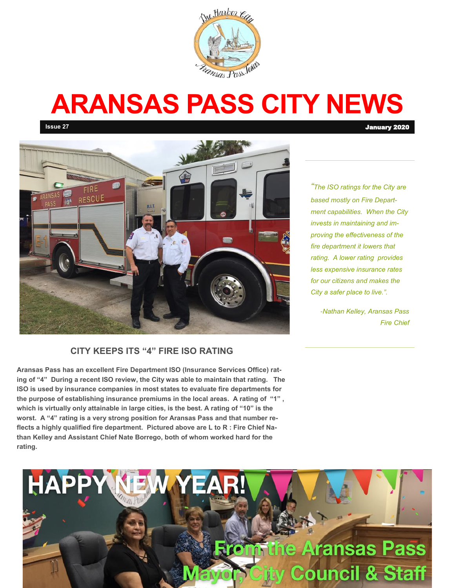

# **ARANSAS PASS CITY NEWS**



#### **CITY KEEPS ITS "4" FIRE ISO RATING**

**Aransas Pass has an excellent Fire Department ISO (Insurance Services Office) rating of "4" During a recent ISO review, the City was able to maintain that rating. The ISO is used by insurance companies in most states to evaluate fire departments for the purpose of establishing insurance premiums in the local areas. A rating of "1" , which is virtually only attainable in large cities, is the best. A rating of "10" is the worst. A "4" rating is a very strong position for Aransas Pass and that number reflects a highly qualified fire department. Pictured above are L to R : Fire Chief Nathan Kelley and Assistant Chief Nate Borrego, both of whom worked hard for the rating.** 

*"The ISO ratings for the City are based mostly on Fire Department capabilities. When the City invests in maintaining and improving the effectiveness of the fire department it lowers that rating. A lower rating provides less expensive insurance rates for our citizens and makes the City a safer place to live.".*

> *-Nathan Kelley, Aransas Pass Fire Chief*



**Issue 27** January 2020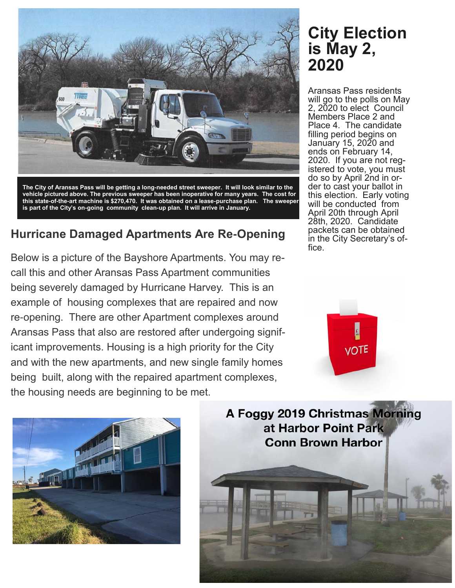

**The City of Aransas Pass will be getting a long-needed street sweeper. It will look similar to the vehicle pictured above. The previous sweeper has been inoperative for many years. The cost for this state-of-the-art machine is \$270,470. It was obtained on a lease-purchase plan. The sweeper is part of the City's on-going community clean-up plan. It will arrive in January.** 

#### **Hurricane Damaged Apartments Are Re-Opening**

Below is a picture of the Bayshore Apartments. You may recall this and other Aransas Pass Apartment communities being severely damaged by Hurricane Harvey. This is an example of housing complexes that are repaired and now re-opening. There are other Apartment complexes around Aransas Pass that also are restored after undergoing significant improvements. Housing is a high priority for the City and with the new apartments, and new single family homes being built, along with the repaired apartment complexes, the housing needs are beginning to be met.

## **City Election is May 2, 2020**

Aransas Pass residents will go to the polls on May 2, 2020 to elect Council Members Place 2 and Place 4. The candidate filling period begins on January 15, 2020 and ends on February 14, 2020. If you are not registered to vote, you must do so by April 2nd in order to cast your ballot in this election. Early voting will be conducted from April 20th through April 28th, 2020. Candidate packets can be obtained in the City Secretary's office.





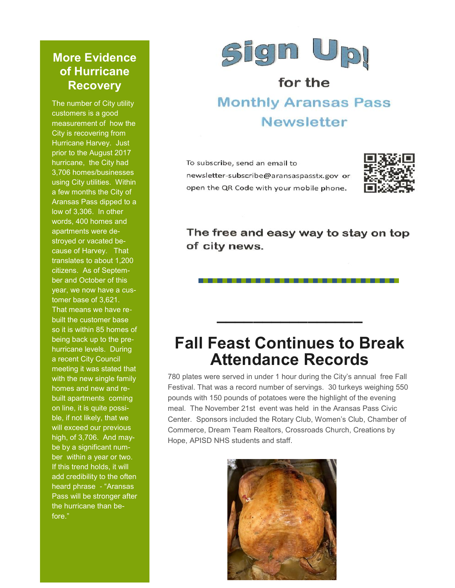#### **More Evidence of Hurricane Recovery**

The number of City utility customers is a good measurement of how the City is recovering from Hurricane Harvey. Just prior to the August 2017 hurricane, the City had 3,706 homes/businesses using City utilities. Within a few months the City of Aransas Pass dipped to a low of 3,306. In other words, 400 homes and apartments were destroyed or vacated because of Harvey. That translates to about 1,200 citizens. As of September and October of this year, we now have a customer base of 3,621. That means we have rebuilt the customer base so it is within 85 homes of being back up to the prehurricane levels. During a recent City Council meeting it was stated that with the new single family homes and new and rebuilt apartments coming on line, it is quite possible, if not likely, that we will exceed our previous high, of 3,706. And maybe by a significant number within a year or two. If this trend holds, it will add credibility to the often heard phrase - "Aransas Pass will be stronger after the hurricane than before."



## for the **Monthly Aransas Pass Newsletter**

To subscribe, send an email to newsletter-subscribe@aransaspasstx.gov or open the QR Code with your mobile phone.



The free and easy way to stay on top of city news.

. . . . . . . . . . . . . . . .

## **Fall Feast Continues to Break Attendance Records**

**\_\_\_\_\_\_\_\_\_\_\_\_\_\_\_\_**

780 plates were served in under 1 hour during the City's annual free Fall Festival. That was a record number of servings. 30 turkeys weighing 550 pounds with 150 pounds of potatoes were the highlight of the evening meal. The November 21st event was held in the Aransas Pass Civic Center. Sponsors included the Rotary Club, Women's Club, Chamber of Commerce, Dream Team Realtors, Crossroads Church, Creations by Hope, APISD NHS students and staff.